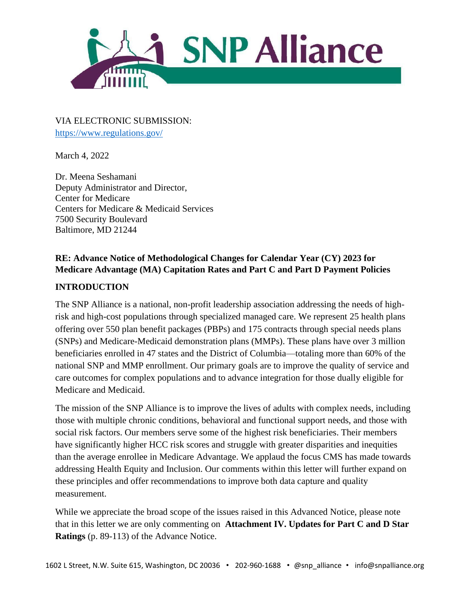

VIA ELECTRONIC SUBMISSION: <https://www.regulations.gov/>

March 4, 2022

Dr. Meena Seshamani Deputy Administrator and Director, Center for Medicare Centers for Medicare & Medicaid Services 7500 Security Boulevard Baltimore, MD 21244

### **RE: Advance Notice of Methodological Changes for Calendar Year (CY) 2023 for Medicare Advantage (MA) Capitation Rates and Part C and Part D Payment Policies**

#### **INTRODUCTION**

The SNP Alliance is a national, non-profit leadership association addressing the needs of highrisk and high-cost populations through specialized managed care. We represent 25 health plans offering over 550 plan benefit packages (PBPs) and 175 contracts through special needs plans (SNPs) and Medicare-Medicaid demonstration plans (MMPs). These plans have over 3 million beneficiaries enrolled in 47 states and the District of Columbia—totaling more than 60% of the national SNP and MMP enrollment. Our primary goals are to improve the quality of service and care outcomes for complex populations and to advance integration for those dually eligible for Medicare and Medicaid.

The mission of the SNP Alliance is to improve the lives of adults with complex needs, including those with multiple chronic conditions, behavioral and functional support needs, and those with social risk factors. Our members serve some of the highest risk beneficiaries. Their members have significantly higher HCC risk scores and struggle with greater disparities and inequities than the average enrollee in Medicare Advantage. We applaud the focus CMS has made towards addressing Health Equity and Inclusion. Our comments within this letter will further expand on these principles and offer recommendations to improve both data capture and quality measurement.

While we appreciate the broad scope of the issues raised in this Advanced Notice, please note that in this letter we are only commenting on **Attachment IV. Updates for Part C and D Star Ratings** (p. 89-113) of the Advance Notice.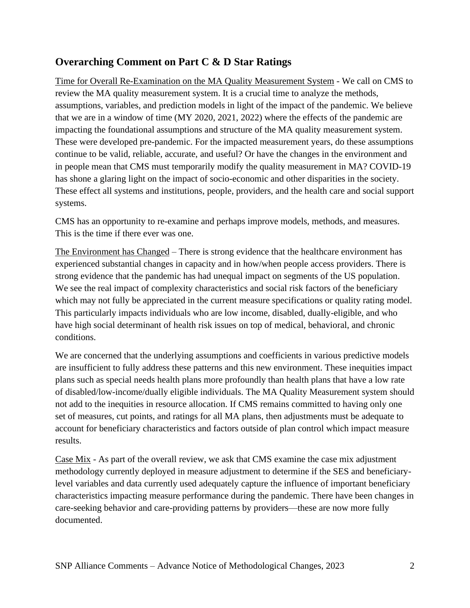# **Overarching Comment on Part C & D Star Ratings**

Time for Overall Re-Examination on the MA Quality Measurement System - We call on CMS to review the MA quality measurement system. It is a crucial time to analyze the methods, assumptions, variables, and prediction models in light of the impact of the pandemic. We believe that we are in a window of time (MY 2020, 2021, 2022) where the effects of the pandemic are impacting the foundational assumptions and structure of the MA quality measurement system. These were developed pre-pandemic. For the impacted measurement years, do these assumptions continue to be valid, reliable, accurate, and useful? Or have the changes in the environment and in people mean that CMS must temporarily modify the quality measurement in MA? COVID-19 has shone a glaring light on the impact of socio-economic and other disparities in the society. These effect all systems and institutions, people, providers, and the health care and social support systems.

CMS has an opportunity to re-examine and perhaps improve models, methods, and measures. This is the time if there ever was one.

The Environment has Changed – There is strong evidence that the healthcare environment has experienced substantial changes in capacity and in how/when people access providers. There is strong evidence that the pandemic has had unequal impact on segments of the US population. We see the real impact of complexity characteristics and social risk factors of the beneficiary which may not fully be appreciated in the current measure specifications or quality rating model. This particularly impacts individuals who are low income, disabled, dually-eligible, and who have high social determinant of health risk issues on top of medical, behavioral, and chronic conditions.

We are concerned that the underlying assumptions and coefficients in various predictive models are insufficient to fully address these patterns and this new environment. These inequities impact plans such as special needs health plans more profoundly than health plans that have a low rate of disabled/low-income/dually eligible individuals. The MA Quality Measurement system should not add to the inequities in resource allocation. If CMS remains committed to having only one set of measures, cut points, and ratings for all MA plans, then adjustments must be adequate to account for beneficiary characteristics and factors outside of plan control which impact measure results.

Case Mix - As part of the overall review, we ask that CMS examine the case mix adjustment methodology currently deployed in measure adjustment to determine if the SES and beneficiarylevel variables and data currently used adequately capture the influence of important beneficiary characteristics impacting measure performance during the pandemic. There have been changes in care-seeking behavior and care-providing patterns by providers—these are now more fully documented.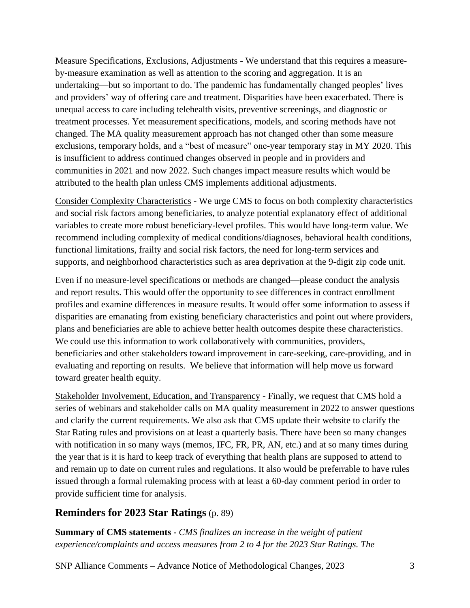Measure Specifications, Exclusions, Adjustments - We understand that this requires a measureby-measure examination as well as attention to the scoring and aggregation. It is an undertaking—but so important to do. The pandemic has fundamentally changed peoples' lives and providers' way of offering care and treatment. Disparities have been exacerbated. There is unequal access to care including telehealth visits, preventive screenings, and diagnostic or treatment processes. Yet measurement specifications, models, and scoring methods have not changed. The MA quality measurement approach has not changed other than some measure exclusions, temporary holds, and a "best of measure" one-year temporary stay in MY 2020. This is insufficient to address continued changes observed in people and in providers and communities in 2021 and now 2022. Such changes impact measure results which would be attributed to the health plan unless CMS implements additional adjustments.

Consider Complexity Characteristics - We urge CMS to focus on both complexity characteristics and social risk factors among beneficiaries, to analyze potential explanatory effect of additional variables to create more robust beneficiary-level profiles. This would have long-term value. We recommend including complexity of medical conditions/diagnoses, behavioral health conditions, functional limitations, frailty and social risk factors, the need for long-term services and supports, and neighborhood characteristics such as area deprivation at the 9-digit zip code unit.

Even if no measure-level specifications or methods are changed—please conduct the analysis and report results. This would offer the opportunity to see differences in contract enrollment profiles and examine differences in measure results. It would offer some information to assess if disparities are emanating from existing beneficiary characteristics and point out where providers, plans and beneficiaries are able to achieve better health outcomes despite these characteristics. We could use this information to work collaboratively with communities, providers, beneficiaries and other stakeholders toward improvement in care-seeking, care-providing, and in evaluating and reporting on results. We believe that information will help move us forward toward greater health equity.

Stakeholder Involvement, Education, and Transparency - Finally, we request that CMS hold a series of webinars and stakeholder calls on MA quality measurement in 2022 to answer questions and clarify the current requirements. We also ask that CMS update their website to clarify the Star Rating rules and provisions on at least a quarterly basis. There have been so many changes with notification in so many ways (memos, IFC, FR, PR, AN, etc.) and at so many times during the year that is it is hard to keep track of everything that health plans are supposed to attend to and remain up to date on current rules and regulations. It also would be preferrable to have rules issued through a formal rulemaking process with at least a 60-day comment period in order to provide sufficient time for analysis.

# **Reminders for 2023 Star Ratings** (p. 89)

**Summary of CMS statements -** *CMS finalizes an increase in the weight of patient experience/complaints and access measures from 2 to 4 for the 2023 Star Ratings. The* 

SNP Alliance Comments – Advance Notice of Methodological Changes, 2023 3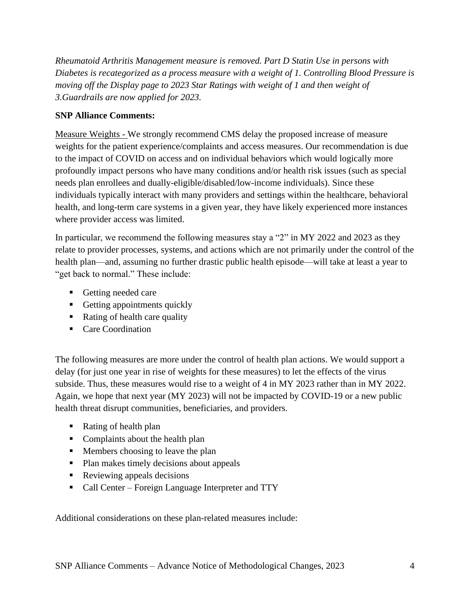*Rheumatoid Arthritis Management measure is removed. Part D Statin Use in persons with Diabetes is recategorized as a process measure with a weight of 1. Controlling Blood Pressure is moving off the Display page to 2023 Star Ratings with weight of 1 and then weight of 3.Guardrails are now applied for 2023.*

### **SNP Alliance Comments:**

Measure Weights - We strongly recommend CMS delay the proposed increase of measure weights for the patient experience/complaints and access measures. Our recommendation is due to the impact of COVID on access and on individual behaviors which would logically more profoundly impact persons who have many conditions and/or health risk issues (such as special needs plan enrollees and dually-eligible/disabled/low-income individuals). Since these individuals typically interact with many providers and settings within the healthcare, behavioral health, and long-term care systems in a given year, they have likely experienced more instances where provider access was limited.

In particular, we recommend the following measures stay a "2" in MY 2022 and 2023 as they relate to provider processes, systems, and actions which are not primarily under the control of the health plan—and, assuming no further drastic public health episode—will take at least a year to "get back to normal." These include:

- Getting needed care
- **•** Getting appointments quickly
- Rating of health care quality
- Care Coordination

The following measures are more under the control of health plan actions. We would support a delay (for just one year in rise of weights for these measures) to let the effects of the virus subside. Thus, these measures would rise to a weight of 4 in MY 2023 rather than in MY 2022. Again, we hope that next year (MY 2023) will not be impacted by COVID-19 or a new public health threat disrupt communities, beneficiaries, and providers.

- Rating of health plan
- Complaints about the health plan
- Members choosing to leave the plan
- Plan makes timely decisions about appeals
- Reviewing appeals decisions
- Call Center Foreign Language Interpreter and TTY

Additional considerations on these plan-related measures include: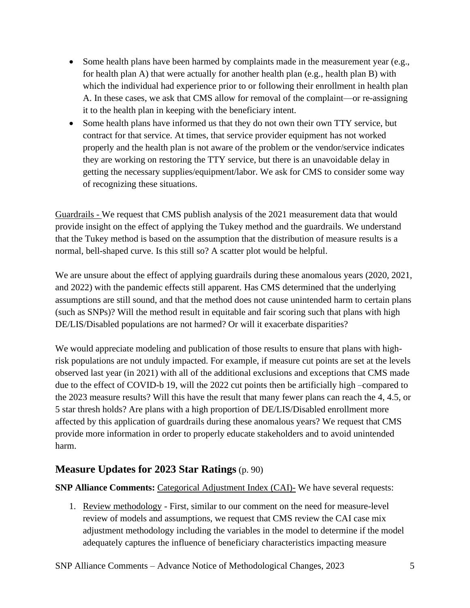- Some health plans have been harmed by complaints made in the measurement year (e.g., for health plan A) that were actually for another health plan (e.g., health plan B) with which the individual had experience prior to or following their enrollment in health plan A. In these cases, we ask that CMS allow for removal of the complaint—or re-assigning it to the health plan in keeping with the beneficiary intent.
- Some health plans have informed us that they do not own their own TTY service, but contract for that service. At times, that service provider equipment has not worked properly and the health plan is not aware of the problem or the vendor/service indicates they are working on restoring the TTY service, but there is an unavoidable delay in getting the necessary supplies/equipment/labor. We ask for CMS to consider some way of recognizing these situations.

Guardrails - We request that CMS publish analysis of the 2021 measurement data that would provide insight on the effect of applying the Tukey method and the guardrails. We understand that the Tukey method is based on the assumption that the distribution of measure results is a normal, bell-shaped curve. Is this still so? A scatter plot would be helpful.

We are unsure about the effect of applying guardrails during these anomalous years (2020, 2021, and 2022) with the pandemic effects still apparent. Has CMS determined that the underlying assumptions are still sound, and that the method does not cause unintended harm to certain plans (such as SNPs)? Will the method result in equitable and fair scoring such that plans with high DE/LIS/Disabled populations are not harmed? Or will it exacerbate disparities?

We would appreciate modeling and publication of those results to ensure that plans with highrisk populations are not unduly impacted. For example, if measure cut points are set at the levels observed last year (in 2021) with all of the additional exclusions and exceptions that CMS made due to the effect of COVID-b 19, will the 2022 cut points then be artificially high –compared to the 2023 measure results? Will this have the result that many fewer plans can reach the 4, 4.5, or 5 star thresh holds? Are plans with a high proportion of DE/LIS/Disabled enrollment more affected by this application of guardrails during these anomalous years? We request that CMS provide more information in order to properly educate stakeholders and to avoid unintended harm.

# **Measure Updates for 2023 Star Ratings** (p. 90)

#### **SNP Alliance Comments:** Categorical Adjustment Index (CAI)- We have several requests:

1. Review methodology - First, similar to our comment on the need for measure-level review of models and assumptions, we request that CMS review the CAI case mix adjustment methodology including the variables in the model to determine if the model adequately captures the influence of beneficiary characteristics impacting measure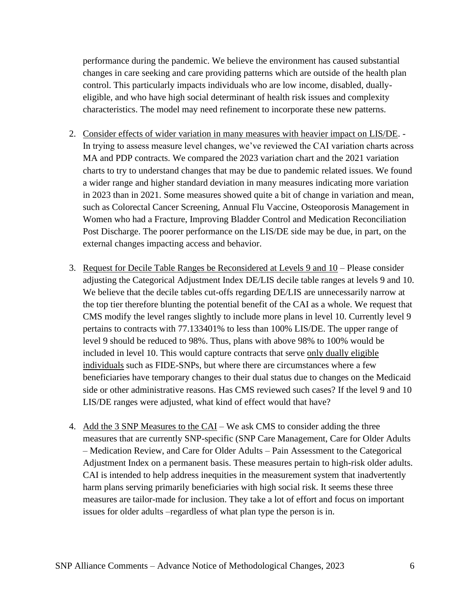performance during the pandemic. We believe the environment has caused substantial changes in care seeking and care providing patterns which are outside of the health plan control. This particularly impacts individuals who are low income, disabled, duallyeligible, and who have high social determinant of health risk issues and complexity characteristics. The model may need refinement to incorporate these new patterns.

- 2. Consider effects of wider variation in many measures with heavier impact on LIS/DE. In trying to assess measure level changes, we've reviewed the CAI variation charts across MA and PDP contracts. We compared the 2023 variation chart and the 2021 variation charts to try to understand changes that may be due to pandemic related issues. We found a wider range and higher standard deviation in many measures indicating more variation in 2023 than in 2021. Some measures showed quite a bit of change in variation and mean, such as Colorectal Cancer Screening, Annual Flu Vaccine, Osteoporosis Management in Women who had a Fracture, Improving Bladder Control and Medication Reconciliation Post Discharge. The poorer performance on the LIS/DE side may be due, in part, on the external changes impacting access and behavior.
- 3. Request for Decile Table Ranges be Reconsidered at Levels 9 and 10 Please consider adjusting the Categorical Adjustment Index DE/LIS decile table ranges at levels 9 and 10. We believe that the decile tables cut-offs regarding DE/LIS are unnecessarily narrow at the top tier therefore blunting the potential benefit of the CAI as a whole. We request that CMS modify the level ranges slightly to include more plans in level 10. Currently level 9 pertains to contracts with 77.133401% to less than 100% LIS/DE. The upper range of level 9 should be reduced to 98%. Thus, plans with above 98% to 100% would be included in level 10. This would capture contracts that serve only dually eligible individuals such as FIDE-SNPs, but where there are circumstances where a few beneficiaries have temporary changes to their dual status due to changes on the Medicaid side or other administrative reasons. Has CMS reviewed such cases? If the level 9 and 10 LIS/DE ranges were adjusted, what kind of effect would that have?
- 4. Add the 3 SNP Measures to the CAI We ask CMS to consider adding the three measures that are currently SNP-specific (SNP Care Management, Care for Older Adults – Medication Review, and Care for Older Adults – Pain Assessment to the Categorical Adjustment Index on a permanent basis. These measures pertain to high-risk older adults. CAI is intended to help address inequities in the measurement system that inadvertently harm plans serving primarily beneficiaries with high social risk. It seems these three measures are tailor-made for inclusion. They take a lot of effort and focus on important issues for older adults –regardless of what plan type the person is in.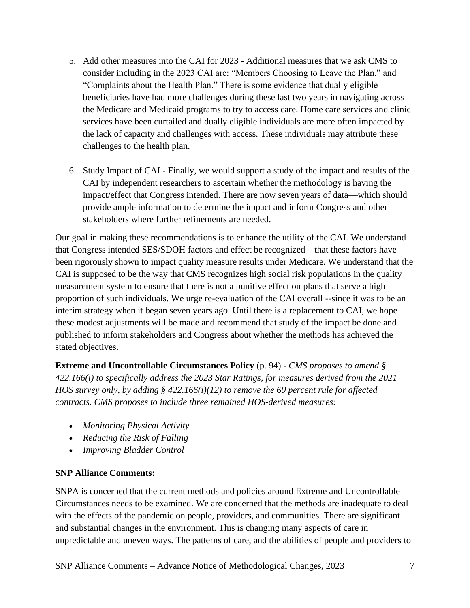- 5. Add other measures into the CAI for 2023 Additional measures that we ask CMS to consider including in the 2023 CAI are: "Members Choosing to Leave the Plan," and "Complaints about the Health Plan." There is some evidence that dually eligible beneficiaries have had more challenges during these last two years in navigating across the Medicare and Medicaid programs to try to access care. Home care services and clinic services have been curtailed and dually eligible individuals are more often impacted by the lack of capacity and challenges with access. These individuals may attribute these challenges to the health plan.
- 6. Study Impact of CAI Finally, we would support a study of the impact and results of the CAI by independent researchers to ascertain whether the methodology is having the impact/effect that Congress intended. There are now seven years of data—which should provide ample information to determine the impact and inform Congress and other stakeholders where further refinements are needed.

Our goal in making these recommendations is to enhance the utility of the CAI. We understand that Congress intended SES/SDOH factors and effect be recognized—that these factors have been rigorously shown to impact quality measure results under Medicare. We understand that the CAI is supposed to be the way that CMS recognizes high social risk populations in the quality measurement system to ensure that there is not a punitive effect on plans that serve a high proportion of such individuals. We urge re-evaluation of the CAI overall --since it was to be an interim strategy when it began seven years ago. Until there is a replacement to CAI, we hope these modest adjustments will be made and recommend that study of the impact be done and published to inform stakeholders and Congress about whether the methods has achieved the stated objectives.

**Extreme and Uncontrollable Circumstances Policy** (p. 94) - *CMS proposes to amend § 422.166(i) to specifically address the 2023 Star Ratings, for measures derived from the 2021 HOS survey only, by adding § 422.166(i)(12) to remove the 60 percent rule for affected contracts. CMS proposes to include three remained HOS-derived measures:*

- *Monitoring Physical Activity*
- *Reducing the Risk of Falling*
- *Improving Bladder Control*

#### **SNP Alliance Comments:**

SNPA is concerned that the current methods and policies around Extreme and Uncontrollable Circumstances needs to be examined. We are concerned that the methods are inadequate to deal with the effects of the pandemic on people, providers, and communities. There are significant and substantial changes in the environment. This is changing many aspects of care in unpredictable and uneven ways. The patterns of care, and the abilities of people and providers to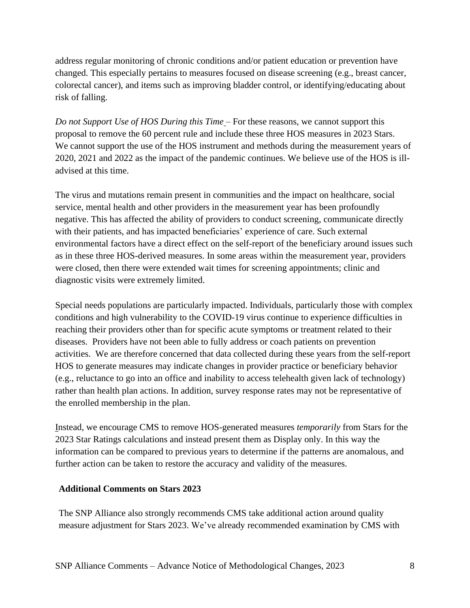address regular monitoring of chronic conditions and/or patient education or prevention have changed. This especially pertains to measures focused on disease screening (e.g., breast cancer, colorectal cancer), and items such as improving bladder control, or identifying/educating about risk of falling.

*Do not Support Use of HOS During this Time* – For these reasons, we cannot support this proposal to remove the 60 percent rule and include these three HOS measures in 2023 Stars. We cannot support the use of the HOS instrument and methods during the measurement years of 2020, 2021 and 2022 as the impact of the pandemic continues. We believe use of the HOS is illadvised at this time.

The virus and mutations remain present in communities and the impact on healthcare, social service, mental health and other providers in the measurement year has been profoundly negative. This has affected the ability of providers to conduct screening, communicate directly with their patients, and has impacted beneficiaries' experience of care. Such external environmental factors have a direct effect on the self-report of the beneficiary around issues such as in these three HOS-derived measures. In some areas within the measurement year, providers were closed, then there were extended wait times for screening appointments; clinic and diagnostic visits were extremely limited.

Special needs populations are particularly impacted. Individuals, particularly those with complex conditions and high vulnerability to the COVID-19 virus continue to experience difficulties in reaching their providers other than for specific acute symptoms or treatment related to their diseases. Providers have not been able to fully address or coach patients on prevention activities. We are therefore concerned that data collected during these years from the self-report HOS to generate measures may indicate changes in provider practice or beneficiary behavior (e.g., reluctance to go into an office and inability to access telehealth given lack of technology) rather than health plan actions. In addition, survey response rates may not be representative of the enrolled membership in the plan.

Instead, we encourage CMS to remove HOS-generated measures *temporarily* from Stars for the 2023 Star Ratings calculations and instead present them as Display only. In this way the information can be compared to previous years to determine if the patterns are anomalous, and further action can be taken to restore the accuracy and validity of the measures.

#### **Additional Comments on Stars 2023**

The SNP Alliance also strongly recommends CMS take additional action around quality measure adjustment for Stars 2023. We've already recommended examination by CMS with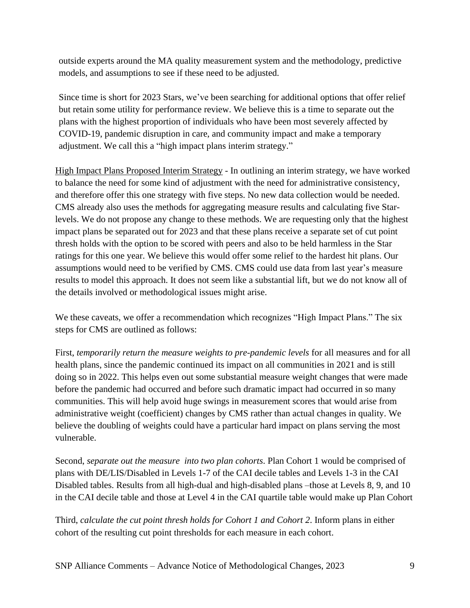outside experts around the MA quality measurement system and the methodology, predictive models, and assumptions to see if these need to be adjusted.

Since time is short for 2023 Stars, we've been searching for additional options that offer relief but retain some utility for performance review. We believe this is a time to separate out the plans with the highest proportion of individuals who have been most severely affected by COVID-19, pandemic disruption in care, and community impact and make a temporary adjustment. We call this a "high impact plans interim strategy."

High Impact Plans Proposed Interim Strategy - In outlining an interim strategy, we have worked to balance the need for some kind of adjustment with the need for administrative consistency, and therefore offer this one strategy with five steps. No new data collection would be needed. CMS already also uses the methods for aggregating measure results and calculating five Starlevels. We do not propose any change to these methods. We are requesting only that the highest impact plans be separated out for 2023 and that these plans receive a separate set of cut point thresh holds with the option to be scored with peers and also to be held harmless in the Star ratings for this one year. We believe this would offer some relief to the hardest hit plans. Our assumptions would need to be verified by CMS. CMS could use data from last year's measure results to model this approach. It does not seem like a substantial lift, but we do not know all of the details involved or methodological issues might arise.

We these caveats, we offer a recommendation which recognizes "High Impact Plans." The six steps for CMS are outlined as follows:

First, *temporarily return the measure weights to pre-pandemic levels* for all measures and for all health plans, since the pandemic continued its impact on all communities in 2021 and is still doing so in 2022. This helps even out some substantial measure weight changes that were made before the pandemic had occurred and before such dramatic impact had occurred in so many communities. This will help avoid huge swings in measurement scores that would arise from administrative weight (coefficient) changes by CMS rather than actual changes in quality. We believe the doubling of weights could have a particular hard impact on plans serving the most vulnerable.

Second, *separate out the measure into two plan cohorts*. Plan Cohort 1 would be comprised of plans with DE/LIS/Disabled in Levels 1-7 of the CAI decile tables and Levels 1-3 in the CAI Disabled tables. Results from all high-dual and high-disabled plans –those at Levels 8, 9, and 10 in the CAI decile table and those at Level 4 in the CAI quartile table would make up Plan Cohort

Third, *calculate the cut point thresh holds for Cohort 1 and Cohort 2*. Inform plans in either cohort of the resulting cut point thresholds for each measure in each cohort.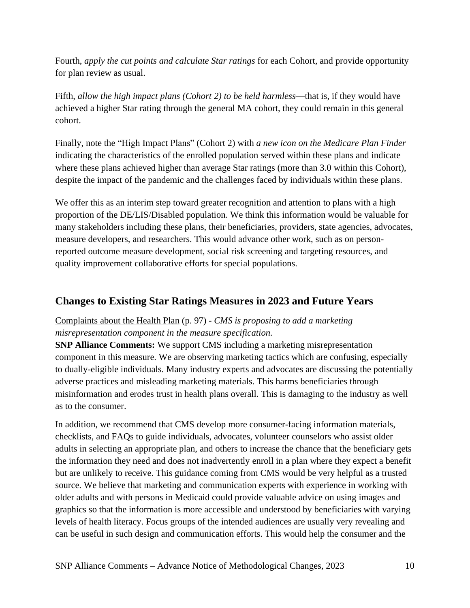Fourth, *apply the cut points and calculate Star ratings* for each Cohort, and provide opportunity for plan review as usual.

Fifth, *allow the high impact plans (Cohort 2) to be held harmless*—that is, if they would have achieved a higher Star rating through the general MA cohort, they could remain in this general cohort.

Finally, note the "High Impact Plans" (Cohort 2) with *a new icon on the Medicare Plan Finder* indicating the characteristics of the enrolled population served within these plans and indicate where these plans achieved higher than average Star ratings (more than 3.0 within this Cohort), despite the impact of the pandemic and the challenges faced by individuals within these plans.

We offer this as an interim step toward greater recognition and attention to plans with a high proportion of the DE/LIS/Disabled population. We think this information would be valuable for many stakeholders including these plans, their beneficiaries, providers, state agencies, advocates, measure developers, and researchers. This would advance other work, such as on personreported outcome measure development, social risk screening and targeting resources, and quality improvement collaborative efforts for special populations.

# **Changes to Existing Star Ratings Measures in 2023 and Future Years**

### Complaints about the Health Plan (p. 97) - *CMS is proposing to add a marketing misrepresentation component in the measure specification.*

**SNP Alliance Comments:** We support CMS including a marketing misrepresentation component in this measure. We are observing marketing tactics which are confusing, especially to dually-eligible individuals. Many industry experts and advocates are discussing the potentially adverse practices and misleading marketing materials. This harms beneficiaries through misinformation and erodes trust in health plans overall. This is damaging to the industry as well as to the consumer.

In addition, we recommend that CMS develop more consumer-facing information materials, checklists, and FAQs to guide individuals, advocates, volunteer counselors who assist older adults in selecting an appropriate plan, and others to increase the chance that the beneficiary gets the information they need and does not inadvertently enroll in a plan where they expect a benefit but are unlikely to receive. This guidance coming from CMS would be very helpful as a trusted source. We believe that marketing and communication experts with experience in working with older adults and with persons in Medicaid could provide valuable advice on using images and graphics so that the information is more accessible and understood by beneficiaries with varying levels of health literacy. Focus groups of the intended audiences are usually very revealing and can be useful in such design and communication efforts. This would help the consumer and the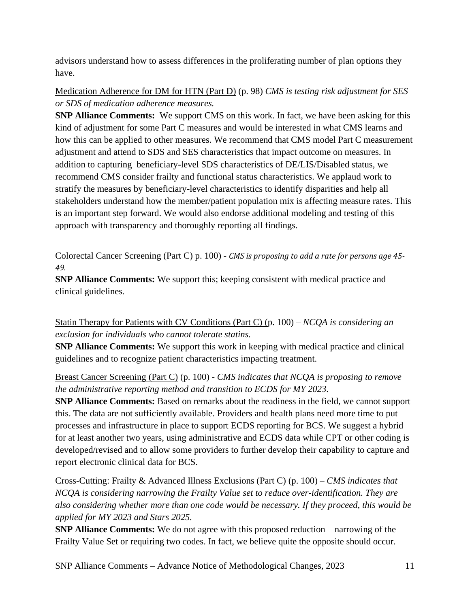advisors understand how to assess differences in the proliferating number of plan options they have.

Medication Adherence for DM for HTN (Part D) (p. 98) *CMS is testing risk adjustment for SES or SDS of medication adherence measures.*

**SNP Alliance Comments:** We support CMS on this work. In fact, we have been asking for this kind of adjustment for some Part C measures and would be interested in what CMS learns and how this can be applied to other measures. We recommend that CMS model Part C measurement adjustment and attend to SDS and SES characteristics that impact outcome on measures. In addition to capturing beneficiary-level SDS characteristics of DE/LIS/Disabled status, we recommend CMS consider frailty and functional status characteristics. We applaud work to stratify the measures by beneficiary-level characteristics to identify disparities and help all stakeholders understand how the member/patient population mix is affecting measure rates. This is an important step forward. We would also endorse additional modeling and testing of this approach with transparency and thoroughly reporting all findings.

Colorectal Cancer Screening (Part C) p. 100) - *CMS is proposing to add a rate for persons age 45- 49.*

**SNP Alliance Comments:** We support this; keeping consistent with medical practice and clinical guidelines.

Statin Therapy for Patients with CV Conditions (Part C) (p. 100) – *NCQA is considering an exclusion for individuals who cannot tolerate statins.*

**SNP Alliance Comments:** We support this work in keeping with medical practice and clinical guidelines and to recognize patient characteristics impacting treatment.

Breast Cancer Screening (Part C) (p. 100) - *CMS indicates that NCQA is proposing to remove the administrative reporting method and transition to ECDS for MY 2023.* 

**SNP Alliance Comments:** Based on remarks about the readiness in the field, we cannot support this. The data are not sufficiently available. Providers and health plans need more time to put processes and infrastructure in place to support ECDS reporting for BCS. We suggest a hybrid for at least another two years, using administrative and ECDS data while CPT or other coding is developed/revised and to allow some providers to further develop their capability to capture and report electronic clinical data for BCS.

Cross-Cutting: Frailty & Advanced Illness Exclusions (Part C) (p. 100) – *CMS indicates that NCQA is considering narrowing the Frailty Value set to reduce over-identification. They are also considering whether more than one code would be necessary. If they proceed, this would be applied for MY 2023 and Stars 2025.*

**SNP Alliance Comments:** We do not agree with this proposed reduction—narrowing of the Frailty Value Set or requiring two codes. In fact, we believe quite the opposite should occur.

SNP Alliance Comments – Advance Notice of Methodological Changes, 2023 11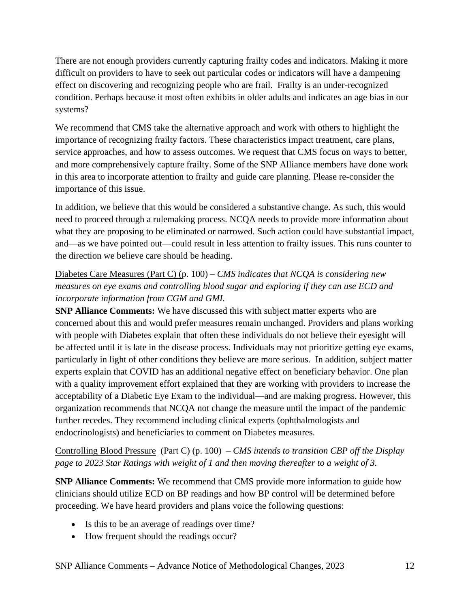There are not enough providers currently capturing frailty codes and indicators. Making it more difficult on providers to have to seek out particular codes or indicators will have a dampening effect on discovering and recognizing people who are frail. Frailty is an under-recognized condition. Perhaps because it most often exhibits in older adults and indicates an age bias in our systems?

We recommend that CMS take the alternative approach and work with others to highlight the importance of recognizing frailty factors. These characteristics impact treatment, care plans, service approaches, and how to assess outcomes. We request that CMS focus on ways to better, and more comprehensively capture frailty. Some of the SNP Alliance members have done work in this area to incorporate attention to frailty and guide care planning. Please re-consider the importance of this issue.

In addition, we believe that this would be considered a substantive change. As such, this would need to proceed through a rulemaking process. NCQA needs to provide more information about what they are proposing to be eliminated or narrowed. Such action could have substantial impact, and—as we have pointed out—could result in less attention to frailty issues. This runs counter to the direction we believe care should be heading.

# Diabetes Care Measures (Part C) (p. 100) – *CMS indicates that NCQA is considering new measures on eye exams and controlling blood sugar and exploring if they can use ECD and incorporate information from CGM and GMI.*

**SNP Alliance Comments:** We have discussed this with subject matter experts who are concerned about this and would prefer measures remain unchanged. Providers and plans working with people with Diabetes explain that often these individuals do not believe their eyesight will be affected until it is late in the disease process. Individuals may not prioritize getting eye exams, particularly in light of other conditions they believe are more serious. In addition, subject matter experts explain that COVID has an additional negative effect on beneficiary behavior. One plan with a quality improvement effort explained that they are working with providers to increase the acceptability of a Diabetic Eye Exam to the individual—and are making progress. However, this organization recommends that NCQA not change the measure until the impact of the pandemic further recedes. They recommend including clinical experts (ophthalmologists and endocrinologists) and beneficiaries to comment on Diabetes measures.

Controlling Blood Pressure (Part C) (p. 100) – *CMS intends to transition CBP off the Display page to 2023 Star Ratings with weight of 1 and then moving thereafter to a weight of 3.*

**SNP Alliance Comments:** We recommend that CMS provide more information to guide how clinicians should utilize ECD on BP readings and how BP control will be determined before proceeding. We have heard providers and plans voice the following questions:

- Is this to be an average of readings over time?
- How frequent should the readings occur?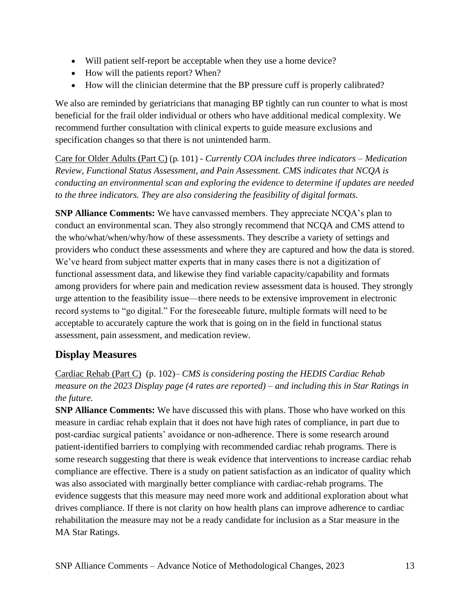- Will patient self-report be acceptable when they use a home device?
- How will the patients report? When?
- How will the clinician determine that the BP pressure cuff is properly calibrated?

We also are reminded by geriatricians that managing BP tightly can run counter to what is most beneficial for the frail older individual or others who have additional medical complexity. We recommend further consultation with clinical experts to guide measure exclusions and specification changes so that there is not unintended harm.

Care for Older Adults (Part C) (p. 101) - *Currently COA includes three indicators – Medication Review, Functional Status Assessment, and Pain Assessment. CMS indicates that NCQA is conducting an environmental scan and exploring the evidence to determine if updates are needed to the three indicators. They are also considering the feasibility of digital formats.*

**SNP Alliance Comments:** We have canvassed members. They appreciate NCQA's plan to conduct an environmental scan. They also strongly recommend that NCQA and CMS attend to the who/what/when/why/how of these assessments. They describe a variety of settings and providers who conduct these assessments and where they are captured and how the data is stored. We've heard from subject matter experts that in many cases there is not a digitization of functional assessment data, and likewise they find variable capacity/capability and formats among providers for where pain and medication review assessment data is housed. They strongly urge attention to the feasibility issue—there needs to be extensive improvement in electronic record systems to "go digital." For the foreseeable future, multiple formats will need to be acceptable to accurately capture the work that is going on in the field in functional status assessment, pain assessment, and medication review.

# **Display Measures**

Cardiac Rehab (Part C) (p. 102)– *CMS is considering posting the HEDIS Cardiac Rehab measure on the 2023 Display page (4 rates are reported) – and including this in Star Ratings in the future.*

**SNP Alliance Comments:** We have discussed this with plans. Those who have worked on this measure in cardiac rehab explain that it does not have high rates of compliance, in part due to post-cardiac surgical patients' avoidance or non-adherence. There is some research around patient-identified barriers to complying with recommended cardiac rehab programs. There is some research suggesting that there is weak evidence that interventions to increase cardiac rehab compliance are effective. There is a study on patient satisfaction as an indicator of quality which was also associated with marginally better compliance with cardiac-rehab programs. The evidence suggests that this measure may need more work and additional exploration about what drives compliance. If there is not clarity on how health plans can improve adherence to cardiac rehabilitation the measure may not be a ready candidate for inclusion as a Star measure in the MA Star Ratings.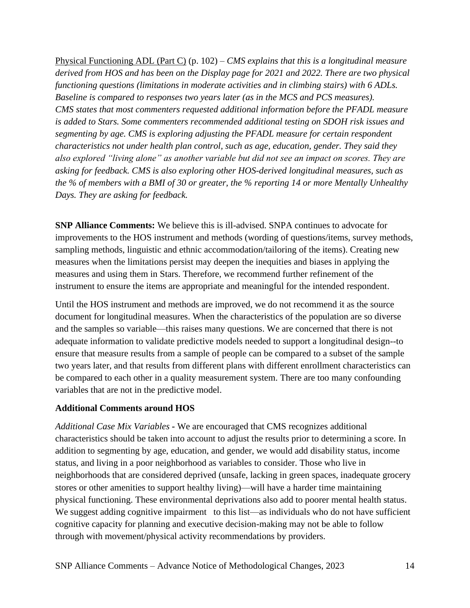Physical Functioning ADL (Part C) (p. 102) – *CMS explains that this is a longitudinal measure derived from HOS and has been on the Display page for 2021 and 2022. There are two physical functioning questions (limitations in moderate activities and in climbing stairs) with 6 ADLs. Baseline is compared to responses two years later (as in the MCS and PCS measures). CMS states that most commenters requested additional information before the PFADL measure is added to Stars. Some commenters recommended additional testing on SDOH risk issues and segmenting by age. CMS is exploring adjusting the PFADL measure for certain respondent characteristics not under health plan control, such as age, education, gender. They said they also explored "living alone" as another variable but did not see an impact on scores. They are asking for feedback. CMS is also exploring other HOS-derived longitudinal measures, such as the % of members with a BMI of 30 or greater, the % reporting 14 or more Mentally Unhealthy Days. They are asking for feedback.*

**SNP Alliance Comments:** We believe this is ill-advised. SNPA continues to advocate for improvements to the HOS instrument and methods (wording of questions/items, survey methods, sampling methods, linguistic and ethnic accommodation/tailoring of the items). Creating new measures when the limitations persist may deepen the inequities and biases in applying the measures and using them in Stars. Therefore, we recommend further refinement of the instrument to ensure the items are appropriate and meaningful for the intended respondent.

Until the HOS instrument and methods are improved, we do not recommend it as the source document for longitudinal measures. When the characteristics of the population are so diverse and the samples so variable—this raises many questions. We are concerned that there is not adequate information to validate predictive models needed to support a longitudinal design--to ensure that measure results from a sample of people can be compared to a subset of the sample two years later, and that results from different plans with different enrollment characteristics can be compared to each other in a quality measurement system. There are too many confounding variables that are not in the predictive model.

#### **Additional Comments around HOS**

*Additional Case Mix Variables -* We are encouraged that CMS recognizes additional characteristics should be taken into account to adjust the results prior to determining a score. In addition to segmenting by age, education, and gender, we would add disability status, income status, and living in a poor neighborhood as variables to consider. Those who live in neighborhoods that are considered deprived (unsafe, lacking in green spaces, inadequate grocery stores or other amenities to support healthy living)—will have a harder time maintaining physical functioning. These environmental deprivations also add to poorer mental health status. We suggest adding cognitive impairment to this list—as individuals who do not have sufficient cognitive capacity for planning and executive decision-making may not be able to follow through with movement/physical activity recommendations by providers.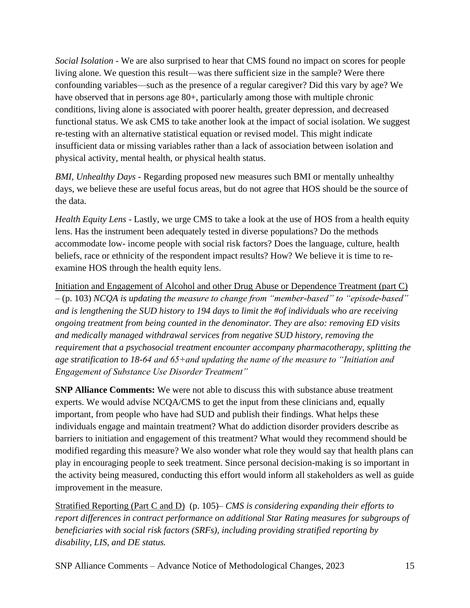*Social Isolation -* We are also surprised to hear that CMS found no impact on scores for people living alone. We question this result—was there sufficient size in the sample? Were there confounding variables—such as the presence of a regular caregiver? Did this vary by age? We have observed that in persons age 80+, particularly among those with multiple chronic conditions, living alone is associated with poorer health, greater depression, and decreased functional status. We ask CMS to take another look at the impact of social isolation. We suggest re-testing with an alternative statistical equation or revised model. This might indicate insufficient data or missing variables rather than a lack of association between isolation and physical activity, mental health, or physical health status.

*BMI, Unhealthy Days* - Regarding proposed new measures such BMI or mentally unhealthy days, we believe these are useful focus areas, but do not agree that HOS should be the source of the data.

*Health Equity Lens* - Lastly, we urge CMS to take a look at the use of HOS from a health equity lens. Has the instrument been adequately tested in diverse populations? Do the methods accommodate low- income people with social risk factors? Does the language, culture, health beliefs, race or ethnicity of the respondent impact results? How? We believe it is time to reexamine HOS through the health equity lens.

Initiation and Engagement of Alcohol and other Drug Abuse or Dependence Treatment (part C) – (p. 103) *NCQA is updating the measure to change from "member-based" to "episode-based" and is lengthening the SUD history to 194 days to limit the #of individuals who are receiving ongoing treatment from being counted in the denominator. They are also: removing ED visits and medically managed withdrawal services from negative SUD history, removing the requirement that a psychosocial treatment encounter accompany pharmacotherapy, splitting the age stratification to 18-64 and 65+and updating the name of the measure to "Initiation and Engagement of Substance Use Disorder Treatment"*

**SNP Alliance Comments:** We were not able to discuss this with substance abuse treatment experts. We would advise NCQA/CMS to get the input from these clinicians and, equally important, from people who have had SUD and publish their findings. What helps these individuals engage and maintain treatment? What do addiction disorder providers describe as barriers to initiation and engagement of this treatment? What would they recommend should be modified regarding this measure? We also wonder what role they would say that health plans can play in encouraging people to seek treatment. Since personal decision-making is so important in the activity being measured, conducting this effort would inform all stakeholders as well as guide improvement in the measure.

Stratified Reporting (Part C and D) (p. 105)– *CMS is considering expanding their efforts to report differences in contract performance on additional Star Rating measures for subgroups of beneficiaries with social risk factors (SRFs), including providing stratified reporting by disability, LIS, and DE status.*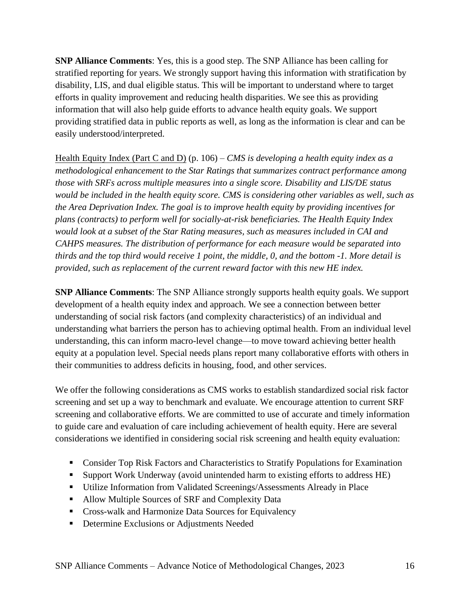**SNP Alliance Comments**: Yes, this is a good step. The SNP Alliance has been calling for stratified reporting for years. We strongly support having this information with stratification by disability, LIS, and dual eligible status. This will be important to understand where to target efforts in quality improvement and reducing health disparities. We see this as providing information that will also help guide efforts to advance health equity goals. We support providing stratified data in public reports as well, as long as the information is clear and can be easily understood/interpreted.

Health Equity Index (Part C and D) (p. 106) – *CMS is developing a health equity index as a methodological enhancement to the Star Ratings that summarizes contract performance among those with SRFs across multiple measures into a single score. Disability and LIS/DE status would be included in the health equity score. CMS is considering other variables as well, such as the Area Deprivation Index. The goal is to improve health equity by providing incentives for plans (contracts) to perform well for socially-at-risk beneficiaries. The Health Equity Index would look at a subset of the Star Rating measures, such as measures included in CAI and CAHPS measures. The distribution of performance for each measure would be separated into thirds and the top third would receive 1 point, the middle, 0, and the bottom -1. More detail is provided, such as replacement of the current reward factor with this new HE index.*

**SNP Alliance Comments**: The SNP Alliance strongly supports health equity goals. We support development of a health equity index and approach. We see a connection between better understanding of social risk factors (and complexity characteristics) of an individual and understanding what barriers the person has to achieving optimal health. From an individual level understanding, this can inform macro-level change—to move toward achieving better health equity at a population level. Special needs plans report many collaborative efforts with others in their communities to address deficits in housing, food, and other services.

We offer the following considerations as CMS works to establish standardized social risk factor screening and set up a way to benchmark and evaluate. We encourage attention to current SRF screening and collaborative efforts. We are committed to use of accurate and timely information to guide care and evaluation of care including achievement of health equity. Here are several considerations we identified in considering social risk screening and health equity evaluation:

- Consider Top Risk Factors and Characteristics to Stratify Populations for Examination
- Support Work Underway (avoid unintended harm to existing efforts to address HE)
- Utilize Information from Validated Screenings/Assessments Already in Place
- Allow Multiple Sources of SRF and Complexity Data
- Cross-walk and Harmonize Data Sources for Equivalency
- **Determine Exclusions or Adjustments Needed**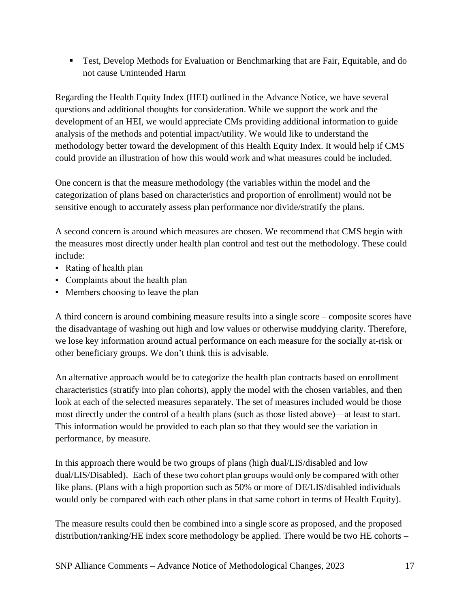**• Test, Develop Methods for Evaluation or Benchmarking that are Fair, Equitable, and do** not cause Unintended Harm

Regarding the Health Equity Index (HEI) outlined in the Advance Notice, we have several questions and additional thoughts for consideration. While we support the work and the development of an HEI, we would appreciate CMs providing additional information to guide analysis of the methods and potential impact/utility. We would like to understand the methodology better toward the development of this Health Equity Index. It would help if CMS could provide an illustration of how this would work and what measures could be included.

One concern is that the measure methodology (the variables within the model and the categorization of plans based on characteristics and proportion of enrollment) would not be sensitive enough to accurately assess plan performance nor divide/stratify the plans.

A second concern is around which measures are chosen. We recommend that CMS begin with the measures most directly under health plan control and test out the methodology. These could include:

- Rating of health plan
- Complaints about the health plan
- Members choosing to leave the plan

A third concern is around combining measure results into a single score – composite scores have the disadvantage of washing out high and low values or otherwise muddying clarity. Therefore, we lose key information around actual performance on each measure for the socially at-risk or other beneficiary groups. We don't think this is advisable.

An alternative approach would be to categorize the health plan contracts based on enrollment characteristics (stratify into plan cohorts), apply the model with the chosen variables, and then look at each of the selected measures separately. The set of measures included would be those most directly under the control of a health plans (such as those listed above)—at least to start. This information would be provided to each plan so that they would see the variation in performance, by measure.

In this approach there would be two groups of plans (high dual/LIS/disabled and low dual/LIS/Disabled). Each of these two cohort plan groups would only be compared with other like plans. (Plans with a high proportion such as 50% or more of DE/LIS/disabled individuals would only be compared with each other plans in that same cohort in terms of Health Equity).

The measure results could then be combined into a single score as proposed, and the proposed distribution/ranking/HE index score methodology be applied. There would be two HE cohorts –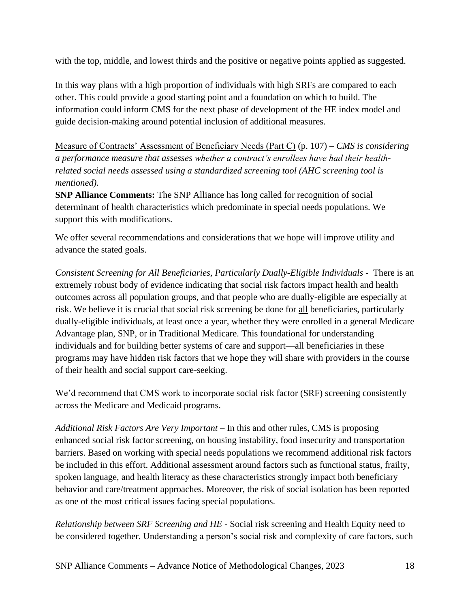with the top, middle, and lowest thirds and the positive or negative points applied as suggested.

In this way plans with a high proportion of individuals with high SRFs are compared to each other. This could provide a good starting point and a foundation on which to build. The information could inform CMS for the next phase of development of the HE index model and guide decision-making around potential inclusion of additional measures.

Measure of Contracts' Assessment of Beneficiary Needs (Part C) (p. 107) *– CMS is considering a performance measure that assesses whether a contract's enrollees have had their healthrelated social needs assessed using a standardized screening tool (AHC screening tool is mentioned).*

**SNP Alliance Comments:** The SNP Alliance has long called for recognition of social determinant of health characteristics which predominate in special needs populations. We support this with modifications.

We offer several recommendations and considerations that we hope will improve utility and advance the stated goals.

*Consistent Screening for All Beneficiaries, Particularly Dually-Eligible Individuals -* There is an extremely robust body of evidence indicating that social risk factors impact health and health outcomes across all population groups, and that people who are dually-eligible are especially at risk. We believe it is crucial that social risk screening be done for all beneficiaries, particularly dually-eligible individuals, at least once a year, whether they were enrolled in a general Medicare Advantage plan, SNP, or in Traditional Medicare. This foundational for understanding individuals and for building better systems of care and support—all beneficiaries in these programs may have hidden risk factors that we hope they will share with providers in the course of their health and social support care-seeking.

We'd recommend that CMS work to incorporate social risk factor (SRF) screening consistently across the Medicare and Medicaid programs.

*Additional Risk Factors Are Very Important* – In this and other rules, CMS is proposing enhanced social risk factor screening, on housing instability, food insecurity and transportation barriers. Based on working with special needs populations we recommend additional risk factors be included in this effort. Additional assessment around factors such as functional status, frailty, spoken language, and health literacy as these characteristics strongly impact both beneficiary behavior and care/treatment approaches. Moreover, the risk of social isolation has been reported as one of the most critical issues facing special populations.

*Relationship between SRF Screening and HE -* Social risk screening and Health Equity need to be considered together. Understanding a person's social risk and complexity of care factors, such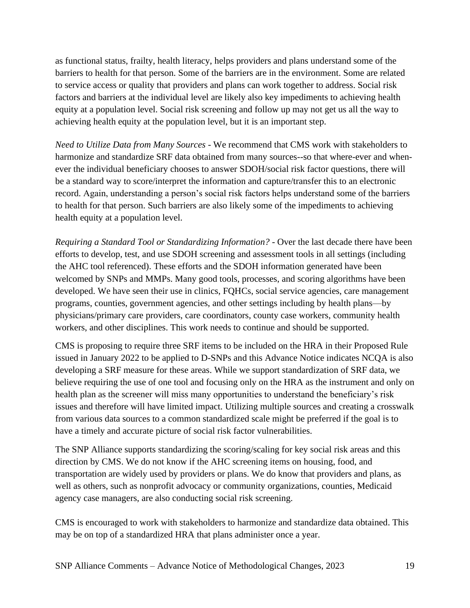as functional status, frailty, health literacy, helps providers and plans understand some of the barriers to health for that person. Some of the barriers are in the environment. Some are related to service access or quality that providers and plans can work together to address. Social risk factors and barriers at the individual level are likely also key impediments to achieving health equity at a population level. Social risk screening and follow up may not get us all the way to achieving health equity at the population level, but it is an important step.

*Need to Utilize Data from Many Sources -* We recommend that CMS work with stakeholders to harmonize and standardize SRF data obtained from many sources--so that where-ever and whenever the individual beneficiary chooses to answer SDOH/social risk factor questions, there will be a standard way to score/interpret the information and capture/transfer this to an electronic record. Again, understanding a person's social risk factors helps understand some of the barriers to health for that person. Such barriers are also likely some of the impediments to achieving health equity at a population level.

*Requiring a Standard Tool or Standardizing Information? -* Over the last decade there have been efforts to develop, test, and use SDOH screening and assessment tools in all settings (including the AHC tool referenced). These efforts and the SDOH information generated have been welcomed by SNPs and MMPs. Many good tools, processes, and scoring algorithms have been developed. We have seen their use in clinics, FQHCs, social service agencies, care management programs, counties, government agencies, and other settings including by health plans—by physicians/primary care providers, care coordinators, county case workers, community health workers, and other disciplines. This work needs to continue and should be supported.

CMS is proposing to require three SRF items to be included on the HRA in their Proposed Rule issued in January 2022 to be applied to D-SNPs and this Advance Notice indicates NCQA is also developing a SRF measure for these areas. While we support standardization of SRF data, we believe requiring the use of one tool and focusing only on the HRA as the instrument and only on health plan as the screener will miss many opportunities to understand the beneficiary's risk issues and therefore will have limited impact. Utilizing multiple sources and creating a crosswalk from various data sources to a common standardized scale might be preferred if the goal is to have a timely and accurate picture of social risk factor vulnerabilities.

The SNP Alliance supports standardizing the scoring/scaling for key social risk areas and this direction by CMS. We do not know if the AHC screening items on housing, food, and transportation are widely used by providers or plans. We do know that providers and plans, as well as others, such as nonprofit advocacy or community organizations, counties, Medicaid agency case managers, are also conducting social risk screening.

CMS is encouraged to work with stakeholders to harmonize and standardize data obtained. This may be on top of a standardized HRA that plans administer once a year.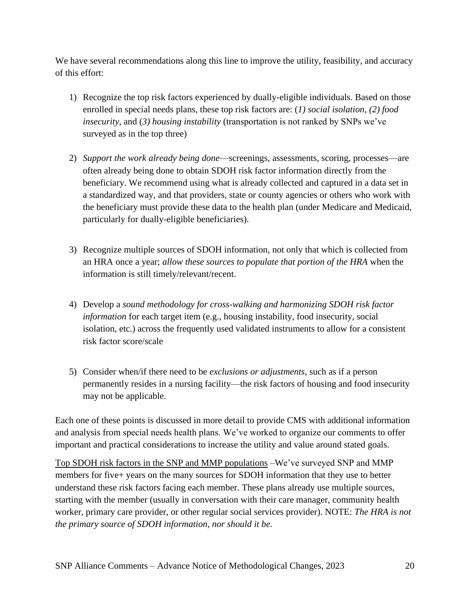We have several recommendations along this line to improve the utility, feasibility, and accuracy of this effort:

- 1) Recognize the top risk factors experienced by dually-eligible individuals. Based on those enrolled in special needs plans, these top risk factors are: (*1) social isolation, (2) food insecurity*, and (*3) housing instability* (transportation is not ranked by SNPs we've surveyed as in the top three)
- 2) *Support the work already being done*—screenings, assessments, scoring, processes—are often already being done to obtain SDOH risk factor information directly from the beneficiary. We recommend using what is already collected and captured in a data set in a standardized way, and that providers, state or county agencies or others who work with the beneficiary must provide these data to the health plan (under Medicare and Medicaid, particularly for dually-eligible beneficiaries).
- 3) Recognize multiple sources of SDOH information, not only that which is collected from an HRA once a year; *allow these sources to populate that portion of the HRA* when the information is still timely/relevant/recent.
- 4) Develop a *sound methodology for cross-walking and harmonizing SDOH risk factor information* for each target item (e.g., housing instability, food insecurity, social isolation, etc.) across the frequently used validated instruments to allow for a consistent risk factor score/scale
- 5) Consider when/if there need to be *exclusions or adjustments*, such as if a person permanently resides in a nursing facility—the risk factors of housing and food insecurity may not be applicable.

Each one of these points is discussed in more detail to provide CMS with additional information and analysis from special needs health plans. We've worked to organize our comments to offer important and practical considerations to increase the utility and value around stated goals.

Top SDOH risk factors in the SNP and MMP populations –We've surveyed SNP and MMP members for five+ years on the many sources for SDOH information that they use to better understand these risk factors facing each member. These plans already use multiple sources, starting with the member (usually in conversation with their care manager, community health worker, primary care provider, or other regular social services provider). NOTE: *The HRA is not the primary source of SDOH information, nor should it be.*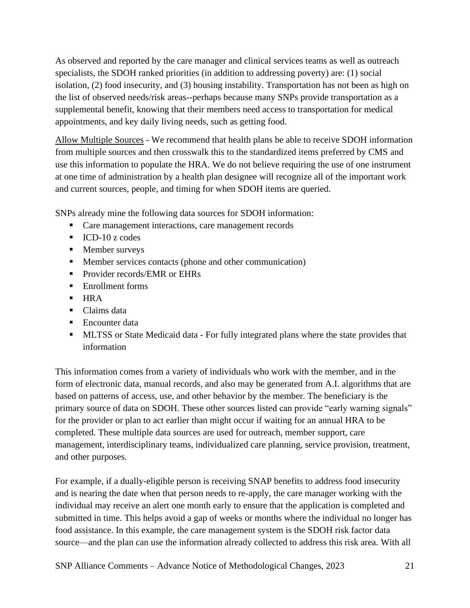As observed and reported by the care manager and clinical services teams as well as outreach specialists, the SDOH ranked priorities (in addition to addressing poverty) are: (1) social isolation, (2) food insecurity, and (3) housing instability. Transportation has not been as high on the list of observed needs/risk areas--perhaps because many SNPs provide transportation as a supplemental benefit, knowing that their members need access to transportation for medical appointments, and key daily living needs, such as getting food.

Allow Multiple Sources - We recommend that health plans be able to receive SDOH information from multiple sources and then crosswalk this to the standardized items preferred by CMS and use this information to populate the HRA. We do not believe requiring the use of one instrument at one time of administration by a health plan designee will recognize all of the important work and current sources, people, and timing for when SDOH items are queried.

SNPs already mine the following data sources for SDOH information:

- Care management interactions, care management records
- $\blacksquare$  ICD-10 z codes
- Member surveys
- Member services contacts (phone and other communication)
- **Provider records/EMR or EHRs**
- Enrollment forms
- $\blacksquare$  HRA
- Claims data
- Encounter data
- **EXECUTE:** MLTSS or State Medicaid data For fully integrated plans where the state provides that information

This information comes from a variety of individuals who work with the member, and in the form of electronic data, manual records, and also may be generated from A.I. algorithms that are based on patterns of access, use, and other behavior by the member. The beneficiary is the primary source of data on SDOH. These other sources listed can provide "early warning signals" for the provider or plan to act earlier than might occur if waiting for an annual HRA to be completed. These multiple data sources are used for outreach, member support, care management, interdisciplinary teams, individualized care planning, service provision, treatment, and other purposes.

For example, if a dually-eligible person is receiving SNAP benefits to address food insecurity and is nearing the date when that person needs to re-apply, the care manager working with the individual may receive an alert one month early to ensure that the application is completed and submitted in time. This helps avoid a gap of weeks or months where the individual no longer has food assistance. In this example, the care management system is the SDOH risk factor data source—and the plan can use the information already collected to address this risk area. With all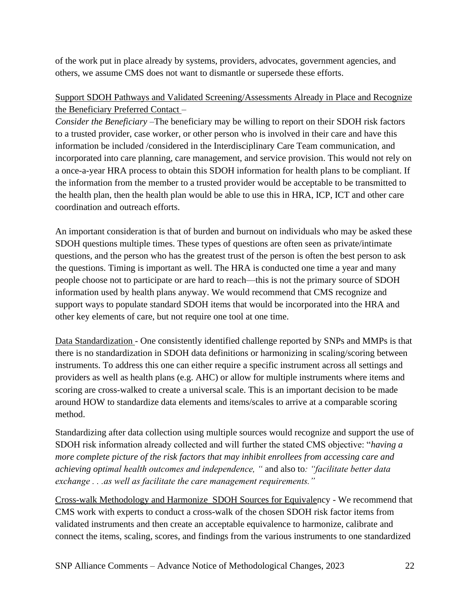of the work put in place already by systems, providers, advocates, government agencies, and others, we assume CMS does not want to dismantle or supersede these efforts.

## Support SDOH Pathways and Validated Screening/Assessments Already in Place and Recognize the Beneficiary Preferred Contact –

*Consider the Beneficiary –*The beneficiary may be willing to report on their SDOH risk factors to a trusted provider, case worker, or other person who is involved in their care and have this information be included /considered in the Interdisciplinary Care Team communication, and incorporated into care planning, care management, and service provision. This would not rely on a once-a-year HRA process to obtain this SDOH information for health plans to be compliant. If the information from the member to a trusted provider would be acceptable to be transmitted to the health plan, then the health plan would be able to use this in HRA, ICP, ICT and other care coordination and outreach efforts.

An important consideration is that of burden and burnout on individuals who may be asked these SDOH questions multiple times. These types of questions are often seen as private/intimate questions, and the person who has the greatest trust of the person is often the best person to ask the questions. Timing is important as well. The HRA is conducted one time a year and many people choose not to participate or are hard to reach—this is not the primary source of SDOH information used by health plans anyway. We would recommend that CMS recognize and support ways to populate standard SDOH items that would be incorporated into the HRA and other key elements of care, but not require one tool at one time.

Data Standardization - One consistently identified challenge reported by SNPs and MMPs is that there is no standardization in SDOH data definitions or harmonizing in scaling/scoring between instruments. To address this one can either require a specific instrument across all settings and providers as well as health plans (e.g. AHC) or allow for multiple instruments where items and scoring are cross-walked to create a universal scale. This is an important decision to be made around HOW to standardize data elements and items/scales to arrive at a comparable scoring method.

Standardizing after data collection using multiple sources would recognize and support the use of SDOH risk information already collected and will further the stated CMS objective: "*having a more complete picture of the risk factors that may inhibit enrollees from accessing care and achieving optimal health outcomes and independence, "* and also to*: "facilitate better data exchange . . .as well as facilitate the care management requirements."*

Cross-walk Methodology and Harmonize SDOH Sources for Equivalency - We recommend that CMS work with experts to conduct a cross-walk of the chosen SDOH risk factor items from validated instruments and then create an acceptable equivalence to harmonize, calibrate and connect the items, scaling, scores, and findings from the various instruments to one standardized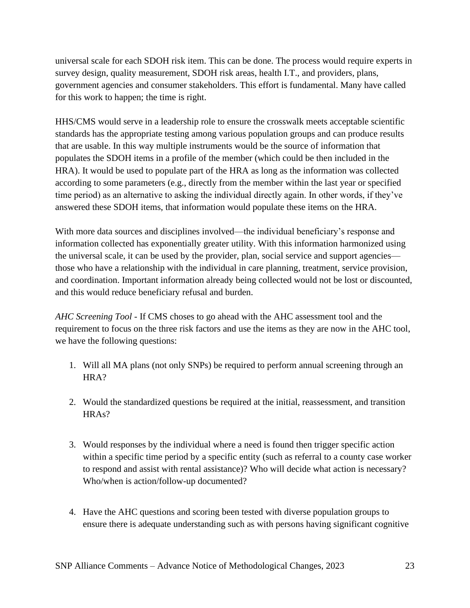universal scale for each SDOH risk item. This can be done. The process would require experts in survey design, quality measurement, SDOH risk areas, health I.T., and providers, plans, government agencies and consumer stakeholders. This effort is fundamental. Many have called for this work to happen; the time is right.

HHS/CMS would serve in a leadership role to ensure the crosswalk meets acceptable scientific standards has the appropriate testing among various population groups and can produce results that are usable. In this way multiple instruments would be the source of information that populates the SDOH items in a profile of the member (which could be then included in the HRA). It would be used to populate part of the HRA as long as the information was collected according to some parameters (e.g., directly from the member within the last year or specified time period) as an alternative to asking the individual directly again. In other words, if they've answered these SDOH items, that information would populate these items on the HRA.

With more data sources and disciplines involved—the individual beneficiary's response and information collected has exponentially greater utility. With this information harmonized using the universal scale, it can be used by the provider, plan, social service and support agencies those who have a relationship with the individual in care planning, treatment, service provision, and coordination. Important information already being collected would not be lost or discounted, and this would reduce beneficiary refusal and burden.

*AHC Screening Tool -* If CMS choses to go ahead with the AHC assessment tool and the requirement to focus on the three risk factors and use the items as they are now in the AHC tool, we have the following questions:

- 1. Will all MA plans (not only SNPs) be required to perform annual screening through an HRA?
- 2. Would the standardized questions be required at the initial, reassessment, and transition HRAs?
- 3. Would responses by the individual where a need is found then trigger specific action within a specific time period by a specific entity (such as referral to a county case worker to respond and assist with rental assistance)? Who will decide what action is necessary? Who/when is action/follow-up documented?
- 4. Have the AHC questions and scoring been tested with diverse population groups to ensure there is adequate understanding such as with persons having significant cognitive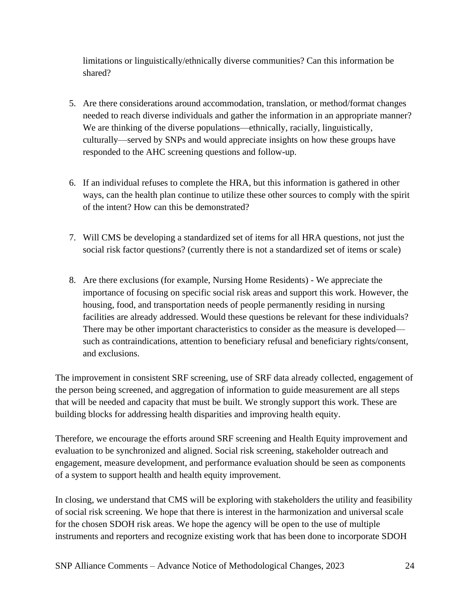limitations or linguistically/ethnically diverse communities? Can this information be shared?

- 5. Are there considerations around accommodation, translation, or method/format changes needed to reach diverse individuals and gather the information in an appropriate manner? We are thinking of the diverse populations—ethnically, racially, linguistically, culturally—served by SNPs and would appreciate insights on how these groups have responded to the AHC screening questions and follow-up.
- 6. If an individual refuses to complete the HRA, but this information is gathered in other ways, can the health plan continue to utilize these other sources to comply with the spirit of the intent? How can this be demonstrated?
- 7. Will CMS be developing a standardized set of items for all HRA questions, not just the social risk factor questions? (currently there is not a standardized set of items or scale)
- 8. Are there exclusions (for example, Nursing Home Residents) We appreciate the importance of focusing on specific social risk areas and support this work. However, the housing, food, and transportation needs of people permanently residing in nursing facilities are already addressed. Would these questions be relevant for these individuals? There may be other important characteristics to consider as the measure is developed such as contraindications, attention to beneficiary refusal and beneficiary rights/consent, and exclusions.

The improvement in consistent SRF screening, use of SRF data already collected, engagement of the person being screened, and aggregation of information to guide measurement are all steps that will be needed and capacity that must be built. We strongly support this work. These are building blocks for addressing health disparities and improving health equity.

Therefore, we encourage the efforts around SRF screening and Health Equity improvement and evaluation to be synchronized and aligned. Social risk screening, stakeholder outreach and engagement, measure development, and performance evaluation should be seen as components of a system to support health and health equity improvement.

In closing, we understand that CMS will be exploring with stakeholders the utility and feasibility of social risk screening. We hope that there is interest in the harmonization and universal scale for the chosen SDOH risk areas. We hope the agency will be open to the use of multiple instruments and reporters and recognize existing work that has been done to incorporate SDOH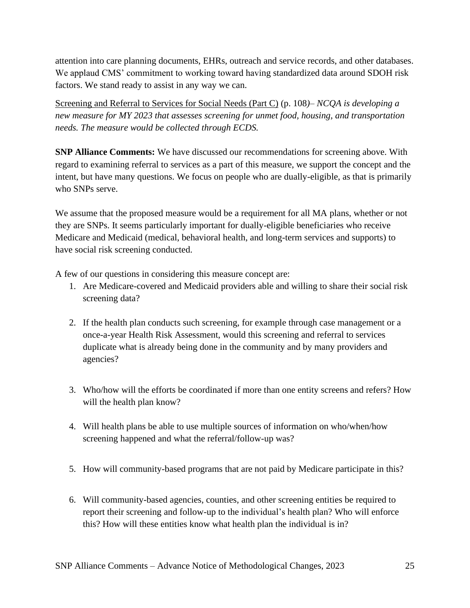attention into care planning documents, EHRs, outreach and service records, and other databases. We applaud CMS' commitment to working toward having standardized data around SDOH risk factors. We stand ready to assist in any way we can.

Screening and Referral to Services for Social Needs (Part C) (p. 108*)– NCQA is developing a new measure for MY 2023 that assesses screening for unmet food, housing, and transportation needs. The measure would be collected through ECDS.*

**SNP Alliance Comments:** We have discussed our recommendations for screening above. With regard to examining referral to services as a part of this measure, we support the concept and the intent, but have many questions. We focus on people who are dually-eligible, as that is primarily who SNPs serve.

We assume that the proposed measure would be a requirement for all MA plans, whether or not they are SNPs. It seems particularly important for dually-eligible beneficiaries who receive Medicare and Medicaid (medical, behavioral health, and long-term services and supports) to have social risk screening conducted.

A few of our questions in considering this measure concept are:

- 1. Are Medicare-covered and Medicaid providers able and willing to share their social risk screening data?
- 2. If the health plan conducts such screening, for example through case management or a once-a-year Health Risk Assessment, would this screening and referral to services duplicate what is already being done in the community and by many providers and agencies?
- 3. Who/how will the efforts be coordinated if more than one entity screens and refers? How will the health plan know?
- 4. Will health plans be able to use multiple sources of information on who/when/how screening happened and what the referral/follow-up was?
- 5. How will community-based programs that are not paid by Medicare participate in this?
- 6. Will community-based agencies, counties, and other screening entities be required to report their screening and follow-up to the individual's health plan? Who will enforce this? How will these entities know what health plan the individual is in?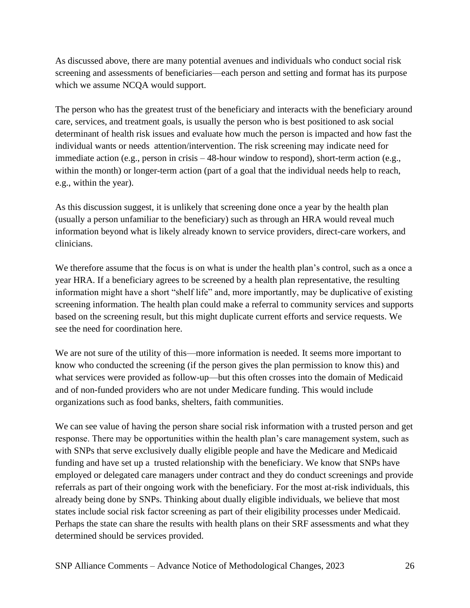As discussed above, there are many potential avenues and individuals who conduct social risk screening and assessments of beneficiaries—each person and setting and format has its purpose which we assume NCQA would support.

The person who has the greatest trust of the beneficiary and interacts with the beneficiary around care, services, and treatment goals, is usually the person who is best positioned to ask social determinant of health risk issues and evaluate how much the person is impacted and how fast the individual wants or needs attention/intervention. The risk screening may indicate need for immediate action (e.g., person in crisis – 48-hour window to respond), short-term action (e.g., within the month) or longer-term action (part of a goal that the individual needs help to reach, e.g., within the year).

As this discussion suggest, it is unlikely that screening done once a year by the health plan (usually a person unfamiliar to the beneficiary) such as through an HRA would reveal much information beyond what is likely already known to service providers, direct-care workers, and clinicians.

We therefore assume that the focus is on what is under the health plan's control, such as a once a year HRA. If a beneficiary agrees to be screened by a health plan representative, the resulting information might have a short "shelf life" and, more importantly, may be duplicative of existing screening information. The health plan could make a referral to community services and supports based on the screening result, but this might duplicate current efforts and service requests. We see the need for coordination here.

We are not sure of the utility of this—more information is needed. It seems more important to know who conducted the screening (if the person gives the plan permission to know this) and what services were provided as follow-up—but this often crosses into the domain of Medicaid and of non-funded providers who are not under Medicare funding. This would include organizations such as food banks, shelters, faith communities.

We can see value of having the person share social risk information with a trusted person and get response. There may be opportunities within the health plan's care management system, such as with SNPs that serve exclusively dually eligible people and have the Medicare and Medicaid funding and have set up a trusted relationship with the beneficiary. We know that SNPs have employed or delegated care managers under contract and they do conduct screenings and provide referrals as part of their ongoing work with the beneficiary. For the most at-risk individuals, this already being done by SNPs. Thinking about dually eligible individuals, we believe that most states include social risk factor screening as part of their eligibility processes under Medicaid. Perhaps the state can share the results with health plans on their SRF assessments and what they determined should be services provided.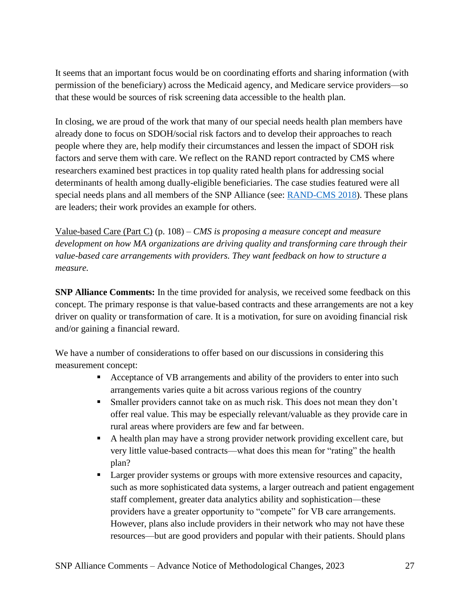It seems that an important focus would be on coordinating efforts and sharing information (with permission of the beneficiary) across the Medicaid agency, and Medicare service providers—so that these would be sources of risk screening data accessible to the health plan.

In closing, we are proud of the work that many of our special needs health plan members have already done to focus on SDOH/social risk factors and to develop their approaches to reach people where they are, help modify their circumstances and lessen the impact of SDOH risk factors and serve them with care. We reflect on the RAND report contracted by CMS where researchers examined best practices in top quality rated health plans for addressing social determinants of health among dually-eligible beneficiaries. The case studies featured were all special needs plans and all members of the SNP Alliance (see: [RAND-CMS 2018\)](https://www.rand.org/content/dam/rand/pubs/research_reports/RR2600/RR2634/RAND_RR2634.pdf). These plans are leaders; their work provides an example for others.

Value-based Care (Part C) (p. 108) – *CMS is proposing a measure concept and measure development on how MA organizations are driving quality and transforming care through their value-based care arrangements with providers. They want feedback on how to structure a measure.*

**SNP Alliance Comments:** In the time provided for analysis, we received some feedback on this concept. The primary response is that value-based contracts and these arrangements are not a key driver on quality or transformation of care. It is a motivation, for sure on avoiding financial risk and/or gaining a financial reward.

We have a number of considerations to offer based on our discussions in considering this measurement concept:

- Acceptance of VB arrangements and ability of the providers to enter into such arrangements varies quite a bit across various regions of the country
- **Example 1** Smaller providers cannot take on as much risk. This does not mean they don't offer real value. This may be especially relevant/valuable as they provide care in rural areas where providers are few and far between.
- A health plan may have a strong provider network providing excellent care, but very little value-based contracts—what does this mean for "rating" the health plan?
- Larger provider systems or groups with more extensive resources and capacity, such as more sophisticated data systems, a larger outreach and patient engagement staff complement, greater data analytics ability and sophistication—these providers have a greater opportunity to "compete" for VB care arrangements. However, plans also include providers in their network who may not have these resources—but are good providers and popular with their patients. Should plans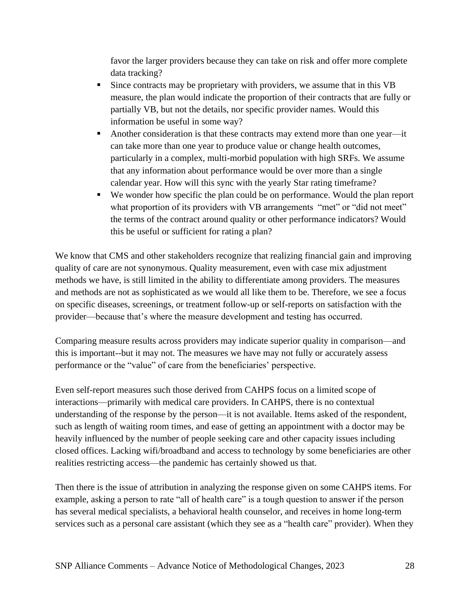favor the larger providers because they can take on risk and offer more complete data tracking?

- **EXECUTE:** Since contracts may be proprietary with providers, we assume that in this VB measure, the plan would indicate the proportion of their contracts that are fully or partially VB, but not the details, nor specific provider names. Would this information be useful in some way?
- Another consideration is that these contracts may extend more than one year—it can take more than one year to produce value or change health outcomes, particularly in a complex, multi-morbid population with high SRFs. We assume that any information about performance would be over more than a single calendar year. How will this sync with the yearly Star rating timeframe?
- We wonder how specific the plan could be on performance. Would the plan report what proportion of its providers with VB arrangements "met" or "did not meet" the terms of the contract around quality or other performance indicators? Would this be useful or sufficient for rating a plan?

We know that CMS and other stakeholders recognize that realizing financial gain and improving quality of care are not synonymous. Quality measurement, even with case mix adjustment methods we have, is still limited in the ability to differentiate among providers. The measures and methods are not as sophisticated as we would all like them to be. Therefore, we see a focus on specific diseases, screenings, or treatment follow-up or self-reports on satisfaction with the provider—because that's where the measure development and testing has occurred.

Comparing measure results across providers may indicate superior quality in comparison—and this is important--but it may not. The measures we have may not fully or accurately assess performance or the "value" of care from the beneficiaries' perspective.

Even self-report measures such those derived from CAHPS focus on a limited scope of interactions—primarily with medical care providers. In CAHPS, there is no contextual understanding of the response by the person—it is not available. Items asked of the respondent, such as length of waiting room times, and ease of getting an appointment with a doctor may be heavily influenced by the number of people seeking care and other capacity issues including closed offices. Lacking wifi/broadband and access to technology by some beneficiaries are other realities restricting access—the pandemic has certainly showed us that.

Then there is the issue of attribution in analyzing the response given on some CAHPS items. For example, asking a person to rate "all of health care" is a tough question to answer if the person has several medical specialists, a behavioral health counselor, and receives in home long-term services such as a personal care assistant (which they see as a "health care" provider). When they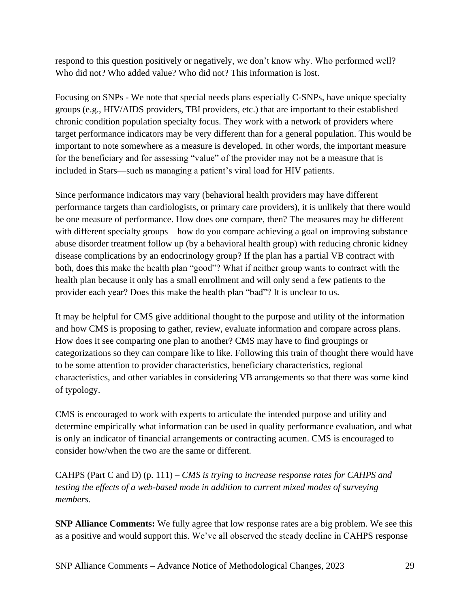respond to this question positively or negatively, we don't know why. Who performed well? Who did not? Who added value? Who did not? This information is lost.

Focusing on SNPs - We note that special needs plans especially C-SNPs, have unique specialty groups (e.g., HIV/AIDS providers, TBI providers, etc.) that are important to their established chronic condition population specialty focus. They work with a network of providers where target performance indicators may be very different than for a general population. This would be important to note somewhere as a measure is developed. In other words, the important measure for the beneficiary and for assessing "value" of the provider may not be a measure that is included in Stars—such as managing a patient's viral load for HIV patients.

Since performance indicators may vary (behavioral health providers may have different performance targets than cardiologists, or primary care providers), it is unlikely that there would be one measure of performance. How does one compare, then? The measures may be different with different specialty groups—how do you compare achieving a goal on improving substance abuse disorder treatment follow up (by a behavioral health group) with reducing chronic kidney disease complications by an endocrinology group? If the plan has a partial VB contract with both, does this make the health plan "good"? What if neither group wants to contract with the health plan because it only has a small enrollment and will only send a few patients to the provider each year? Does this make the health plan "bad"? It is unclear to us.

It may be helpful for CMS give additional thought to the purpose and utility of the information and how CMS is proposing to gather, review, evaluate information and compare across plans. How does it see comparing one plan to another? CMS may have to find groupings or categorizations so they can compare like to like. Following this train of thought there would have to be some attention to provider characteristics, beneficiary characteristics, regional characteristics, and other variables in considering VB arrangements so that there was some kind of typology.

CMS is encouraged to work with experts to articulate the intended purpose and utility and determine empirically what information can be used in quality performance evaluation, and what is only an indicator of financial arrangements or contracting acumen. CMS is encouraged to consider how/when the two are the same or different.

CAHPS (Part C and D) (p. 111) – *CMS is trying to increase response rates for CAHPS and testing the effects of a web-based mode in addition to current mixed modes of surveying members.*

**SNP Alliance Comments:** We fully agree that low response rates are a big problem. We see this as a positive and would support this. We've all observed the steady decline in CAHPS response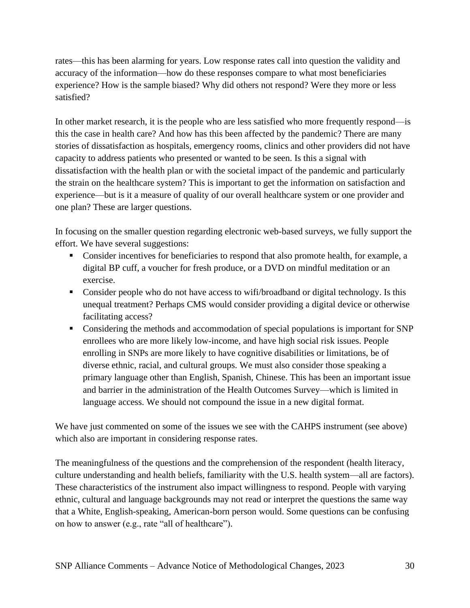rates—this has been alarming for years. Low response rates call into question the validity and accuracy of the information—how do these responses compare to what most beneficiaries experience? How is the sample biased? Why did others not respond? Were they more or less satisfied?

In other market research, it is the people who are less satisfied who more frequently respond—is this the case in health care? And how has this been affected by the pandemic? There are many stories of dissatisfaction as hospitals, emergency rooms, clinics and other providers did not have capacity to address patients who presented or wanted to be seen. Is this a signal with dissatisfaction with the health plan or with the societal impact of the pandemic and particularly the strain on the healthcare system? This is important to get the information on satisfaction and experience—but is it a measure of quality of our overall healthcare system or one provider and one plan? These are larger questions.

In focusing on the smaller question regarding electronic web-based surveys, we fully support the effort. We have several suggestions:

- Consider incentives for beneficiaries to respond that also promote health, for example, a digital BP cuff, a voucher for fresh produce, or a DVD on mindful meditation or an exercise.
- Consider people who do not have access to wifi/broadband or digital technology. Is this unequal treatment? Perhaps CMS would consider providing a digital device or otherwise facilitating access?
- Considering the methods and accommodation of special populations is important for SNP enrollees who are more likely low-income, and have high social risk issues. People enrolling in SNPs are more likely to have cognitive disabilities or limitations, be of diverse ethnic, racial, and cultural groups. We must also consider those speaking a primary language other than English, Spanish, Chinese. This has been an important issue and barrier in the administration of the Health Outcomes Survey—which is limited in language access. We should not compound the issue in a new digital format.

We have just commented on some of the issues we see with the CAHPS instrument (see above) which also are important in considering response rates.

The meaningfulness of the questions and the comprehension of the respondent (health literacy, culture understanding and health beliefs, familiarity with the U.S. health system—all are factors). These characteristics of the instrument also impact willingness to respond. People with varying ethnic, cultural and language backgrounds may not read or interpret the questions the same way that a White, English-speaking, American-born person would. Some questions can be confusing on how to answer (e.g., rate "all of healthcare").